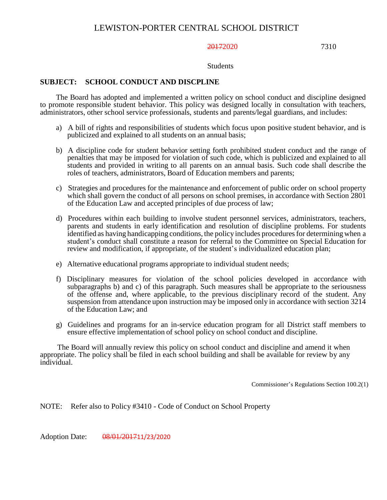#### 20172020 7310

#### Students

## **SUBJECT: SCHOOL CONDUCT AND DISCPLINE**

The Board has adopted and implemented a written policy on school conduct and discipline designed to promote responsible student behavior. This policy was designed locally in consultation with teachers, administrators, other school service professionals, students and parents/legal guardians, and includes:

- a) A bill of rights and responsibilities of students which focus upon positive student behavior, and is publicized and explained to all students on an annual basis;
- b) A discipline code for student behavior setting forth prohibited student conduct and the range of penalties that may be imposed for violation of such code, which is publicized and explained to all students and provided in writing to all parents on an annual basis. Such code shall describe the roles of teachers, administrators, Board of Education members and parents;
- c) Strategies and procedures for the maintenance and enforcement of public order on school property which shall govern the conduct of all persons on school premises, in accordance with Section 2801 of the Education Law and accepted principles of due process of law;
- d) Procedures within each building to involve student personnel services, administrators, teachers, parents and students in early identification and resolution of discipline problems. For students identified as having handicapping conditions, the policy includes procedures for determining when a student's conduct shall constitute a reason for referral to the Committee on Special Education for review and modification, if appropriate, of the student's individualized education plan;
- e) Alternative educational programs appropriate to individual student needs;
- f) Disciplinary measures for violation of the school policies developed in accordance with subparagraphs b) and c) of this paragraph. Such measures shall be appropriate to the seriousness of the offense and, where applicable, to the previous disciplinary record of the student. Any suspension from attendance upon instruction may be imposed only in accordance with section 3214 of the Education Law; and
- g) Guidelines and programs for an in-service education program for all District staff members to ensure effective implementation of school policy on school conduct and discipline.

The Board will annually review this policy on school conduct and discipline and amend it when appropriate. The policy shall be filed in each school building and shall be available for review by any individual.

Commissioner's Regulations Section 100.2(1)

NOTE: Refer also to Policy #3410 - Code of Conduct on School Property

Adoption Date: 08/01/201711/23/2020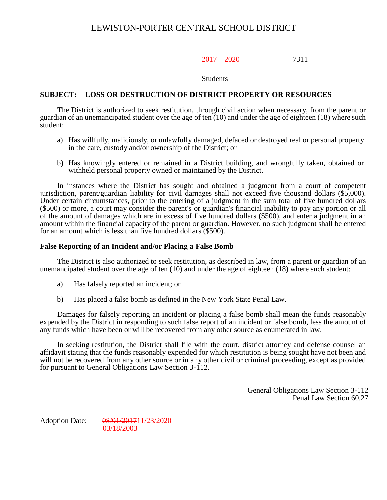2017 2020 7311

Students

### **SUBJECT: LOSS OR DESTRUCTION OF DISTRICT PROPERTY OR RESOURCES**

The District is authorized to seek restitution, through civil action when necessary, from the parent or guardian of an unemancipated student over the age of ten (10) and under the age of eighteen (18) where such student:

- a) Has willfully, maliciously, or unlawfully damaged, defaced or destroyed real or personal property in the care, custody and/or ownership of the District; or
- b) Has knowingly entered or remained in a District building, and wrongfully taken, obtained or withheld personal property owned or maintained by the District.

In instances where the District has sought and obtained a judgment from a court of competent jurisdiction, parent/guardian liability for civil damages shall not exceed five thousand dollars (\$5,000). Under certain circumstances, prior to the entering of a judgment in the sum total of five hundred dollars (\$500) or more, a court may consider the parent's or guardian's financial inability to pay any portion or all of the amount of damages which are in excess of five hundred dollars (\$500), and enter a judgment in an amount within the financial capacity of the parent or guardian. However, no such judgment shall be entered for an amount which is less than five hundred dollars (\$500).

#### **False Reporting of an Incident and/or Placing a False Bomb**

The District is also authorized to seek restitution, as described in law, from a parent or guardian of an unemancipated student over the age of ten (10) and under the age of eighteen (18) where such student:

- a) Has falsely reported an incident; or
- b) Has placed a false bomb as defined in the New York State Penal Law.

Damages for falsely reporting an incident or placing a false bomb shall mean the funds reasonably expended by the District in responding to such false report of an incident or false bomb, less the amount of any funds which have been or will be recovered from any other source as enumerated in law.

In seeking restitution, the District shall file with the court, district attorney and defense counsel an affidavit stating that the funds reasonably expended for which restitution is being sought have not been and will not be recovered from any other source or in any other civil or criminal proceeding, except as provided for pursuant to General Obligations Law Section 3-112.

> General Obligations Law Section 3-112 Penal Law Section 60.27

Adoption Date: 08/01/201711/23/2020 03/18/2003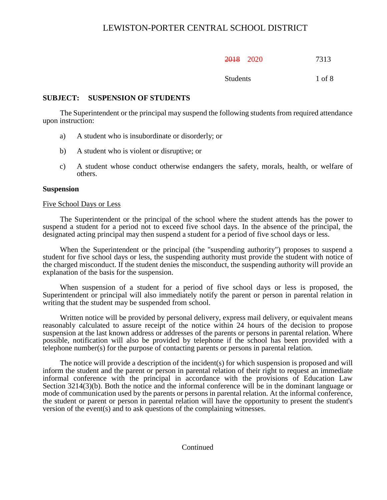| 201 Q<br>2010 | 2020 | 7313 |
|---------------|------|------|
|---------------|------|------|

Students 1 of 8

## **SUBJECT: SUSPENSION OF STUDENTS**

The Superintendent or the principal may suspend the following students from required attendance upon instruction:

- a) A student who is insubordinate or disorderly; or
- b) A student who is violent or disruptive; or
- c) A student whose conduct otherwise endangers the safety, morals, health, or welfare of others.

#### **Suspension**

#### Five School Days or Less

The Superintendent or the principal of the school where the student attends has the power to suspend a student for a period not to exceed five school days. In the absence of the principal, the designated acting principal may then suspend a student for a period of five school days or less.

When the Superintendent or the principal (the "suspending authority") proposes to suspend a student for five school days or less, the suspending authority must provide the student with notice of the charged misconduct. If the student denies the misconduct, the suspending authority will provide an explanation of the basis for the suspension.

When suspension of a student for a period of five school days or less is proposed, the Superintendent or principal will also immediately notify the parent or person in parental relation in writing that the student may be suspended from school.

Written notice will be provided by personal delivery, express mail delivery, or equivalent means reasonably calculated to assure receipt of the notice within 24 hours of the decision to propose suspension at the last known address or addresses of the parents or persons in parental relation. Where possible, notification will also be provided by telephone if the school has been provided with a telephone number(s) for the purpose of contacting parents or persons in parental relation.

The notice will provide a description of the incident(s) for which suspension is proposed and will inform the student and the parent or person in parental relation of their right to request an immediate informal conference with the principal in accordance with the provisions of Education Law Section 3214(3)(b). Both the notice and the informal conference will be in the dominant language or mode of communication used by the parents or persons in parental relation. At the informal conference, the student or parent or person in parental relation will have the opportunity to present the student's version of the event(s) and to ask questions of the complaining witnesses.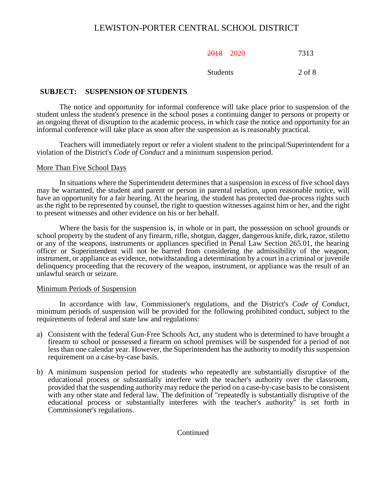2018 2020 7313

Students 2 of 8

# **SUBJECT: SUSPENSION OF STUDENTS**

The notice and opportunity for informal conference will take place prior to suspension of the student unless the student's presence in the school poses a continuing danger to persons or property or an ongoing threat of disruption to the academic process, in which case the notice and opportunity for an informal conference will take place as soon after the suspension as is reasonably practical.

Teachers will immediately report or refer a violent student to the principal/Superintendent for a violation of the District's *Code of Conduct* and a minimum suspension period.

## More Than Five School Days

In situations where the Superintendent determines that a suspension in excess of five school days may be warranted, the student and parent or person in parental relation, upon reasonable notice, will have an opportunity for a fair hearing. At the hearing, the student has protected due-process rights such as the right to be represented by counsel, the right to question witnesses against him or her, and the right to present witnesses and other evidence on his or her behalf.

Where the basis for the suspension is, in whole or in part, the possession on school grounds or school property by the student of any firearm, rifle, shotgun, dagger, dangerous knife, dirk, razor, stiletto or any of the weapons, instruments or appliances specified in Penal Law Section 265.01, the hearing officer or Superintendent will not be barred from considering the admissibility of the weapon, instrument, or appliance as evidence, notwithstanding a determination by a court in a criminal or juvenile delinquency proceeding that the recovery of the weapon, instrument, or appliance was the result of an unlawful search or seizure.

#### Minimum Periods of Suspension

In accordance with law, Commissioner's regulations, and the District's *Code of Conduct*, minimum periods of suspension will be provided for the following prohibited conduct, subject to the requirements of federal and state law and regulations:

- a) Consistent with the federal Gun-Free Schools Act, any student who is determined to have brought a firearm to school or possessed a firearm on school premises will be suspended for a period of not less than one calendar year. However, the Superintendent has the authority to modify this suspension requirement on a case-by-case basis.
- b) A minimum suspension period for students who repeatedly are substantially disruptive of the educational process or substantially interfere with the teacher's authority over the classroom, provided that the suspending authority may reduce the period on a case-by-case basis to be consistent with any other state and federal law. The definition of "repeatedly is substantially disruptive of the educational process or substantially interferes with the teacher's authority" is set forth in Commissioner's regulations.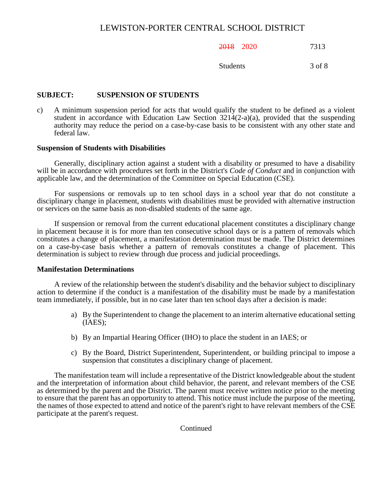## 2018 2020 7313

Students 3 of 8

# **SUBJECT: SUSPENSION OF STUDENTS**

c) A minimum suspension period for acts that would qualify the student to be defined as a violent student in accordance with Education Law Section  $3214(2-a)(a)$ , provided that the suspending authority may reduce the period on a case-by-case basis to be consistent with any other state and federal law.

#### **Suspension of Students with Disabilities**

Generally, disciplinary action against a student with a disability or presumed to have a disability will be in accordance with procedures set forth in the District's *Code of Conduct* and in conjunction with applicable law, and the determination of the Committee on Special Education (CSE).

For suspensions or removals up to ten school days in a school year that do not constitute a disciplinary change in placement, students with disabilities must be provided with alternative instruction or services on the same basis as non-disabled students of the same age.

If suspension or removal from the current educational placement constitutes a disciplinary change in placement because it is for more than ten consecutive school days or is a pattern of removals which constitutes a change of placement, a manifestation determination must be made. The District determines on a case-by-case basis whether a pattern of removals constitutes a change of placement. This determination is subject to review through due process and judicial proceedings.

#### **Manifestation Determinations**

A review of the relationship between the student's disability and the behavior subject to disciplinary action to determine if the conduct is a manifestation of the disability must be made by a manifestation team immediately, if possible, but in no case later than ten school days after a decision is made:

- a) By the Superintendent to change the placement to an interim alternative educational setting (IAES);
- b) By an Impartial Hearing Officer (IHO) to place the student in an IAES; or
- c) By the Board, District Superintendent, Superintendent, or building principal to impose a suspension that constitutes a disciplinary change of placement.

The manifestation team will include a representative of the District knowledgeable about the student and the interpretation of information about child behavior, the parent, and relevant members of the CSE as determined by the parent and the District. The parent must receive written notice prior to the meeting to ensure that the parent has an opportunity to attend. This notice must include the purpose of the meeting, the names of those expected to attend and notice of the parent's right to have relevant members of the CSE participate at the parent's request.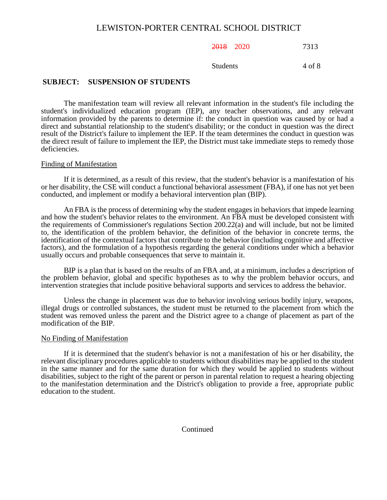2018 2020 7313

Students 4 of 8

### **SUBJECT: SUSPENSION OF STUDENTS**

The manifestation team will review all relevant information in the student's file including the student's individualized education program (IEP), any teacher observations, and any relevant information provided by the parents to determine if: the conduct in question was caused by or had a direct and substantial relationship to the student's disability; or the conduct in question was the direct result of the District's failure to implement the IEP. If the team determines the conduct in question was the direct result of failure to implement the IEP, the District must take immediate steps to remedy those deficiencies.

#### Finding of Manifestation

If it is determined, as a result of this review, that the student's behavior is a manifestation of his or her disability, the CSE will conduct a functional behavioral assessment (FBA), if one has not yet been conducted, and implement or modify a behavioral intervention plan (BIP).

An FBA is the process of determining why the student engages in behaviors that impede learning and how the student's behavior relates to the environment. An FBA must be developed consistent with the requirements of Commissioner's regulations Section 200.22(a) and will include, but not be limited to, the identification of the problem behavior, the definition of the behavior in concrete terms, the identification of the contextual factors that contribute to the behavior (including cognitive and affective factors), and the formulation of a hypothesis regarding the general conditions under which a behavior usually occurs and probable consequences that serve to maintain it.

BIP is a plan that is based on the results of an FBA and, at a minimum, includes a description of the problem behavior, global and specific hypotheses as to why the problem behavior occurs, and intervention strategies that include positive behavioral supports and services to address the behavior.

Unless the change in placement was due to behavior involving serious bodily injury, weapons, illegal drugs or controlled substances, the student must be returned to the placement from which the student was removed unless the parent and the District agree to a change of placement as part of the modification of the BIP.

#### No Finding of Manifestation

If it is determined that the student's behavior is not a manifestation of his or her disability, the relevant disciplinary procedures applicable to students without disabilities may be applied to the student in the same manner and for the same duration for which they would be applied to students without disabilities, subject to the right of the parent or person in parental relation to request a hearing objecting to the manifestation determination and the District's obligation to provide a free, appropriate public education to the student.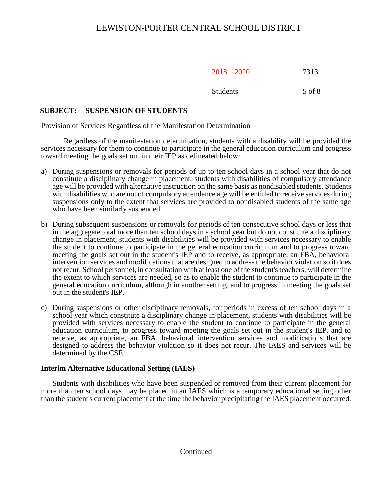2018 2020 7313

Students 5 of 8

# **SUBJECT: SUSPENSION OF STUDENTS**

# Provision of Services Regardless of the Manifestation Determination

Regardless of the manifestation determination, students with a disability will be provided the services necessary for them to continue to participate in the general education curriculum and progress toward meeting the goals set out in their IEP as delineated below:

- a) During suspensions or removals for periods of up to ten school days in a school year that do not constitute a disciplinary change in placement, students with disabilities of compulsory attendance age will be provided with alternative instruction on the same basis as nondisabled students. Students with disabilities who are not of compulsory attendance age will be entitled to receive services during suspensions only to the extent that services are provided to nondisabled students of the same age who have been similarly suspended.
- b) During subsequent suspensions or removals for periods of ten consecutive school days or less that in the aggregate total more than ten school days in a school year but do not constitute a disciplinary change in placement, students with disabilities will be provided with services necessary to enable the student to continue to participate in the general education curriculum and to progress toward meeting the goals set out in the student's IEP and to receive, as appropriate, an FBA, behavioral intervention services and modifications that are designed to address the behavior violation so it does not recur. School personnel, in consultation with at least one of the student's teachers, will determine the extent to which services are needed, so as to enable the student to continue to participate in the general education curriculum, although in another setting, and to progress in meeting the goals set out in the student's IEP.
- c) During suspensions or other disciplinary removals, for periods in excess of ten school days in a school year which constitute a disciplinary change in placement, students with disabilities will be provided with services necessary to enable the student to continue to participate in the general education curriculum, to progress toward meeting the goals set out in the student's IEP, and to receive, as appropriate, an FBA, behavioral intervention services and modifications that are designed to address the behavior violation so it does not recur. The IAES and services will be determined by the CSE.

# **Interim Alternative Educational Setting (IAES)**

Students with disabilities who have been suspended or removed from their current placement for more than ten school days may be placed in an IAES which is a temporary educational setting other than the student's current placement at the time the behavior precipitating the IAES placement occurred.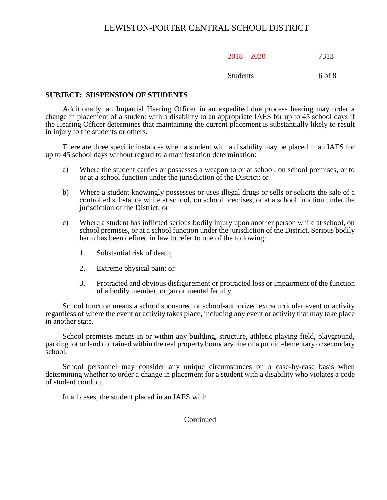| ንበ1 ዩ<br>2010 | 2020 | 7313 |
|---------------|------|------|
|---------------|------|------|

#### Students 6 of 8

## **SUBJECT: SUSPENSION OF STUDENTS**

Additionally, an Impartial Hearing Officer in an expedited due process hearing may order a change in placement of a student with a disability to an appropriate IAES for up to 45 school days if the Hearing Officer determines that maintaining the current placement is substantially likely to result in injury to the students or others.

There are three specific instances when a student with a disability may be placed in an IAES for up to 45 school days without regard to a manifestation determination:

- a) Where the student carries or possesses a weapon to or at school, on school premises, or to or at a school function under the jurisdiction of the District; or
- b) Where a student knowingly possesses or uses illegal drugs or sells or solicits the sale of a controlled substance while at school, on school premises, or at a school function under the jurisdiction of the District; or
- c) Where a student has inflicted serious bodily injury upon another person while at school, on school premises, or at a school function under the jurisdiction of the District. Serious bodily harm has been defined in law to refer to one of the following:
	- 1. Substantial risk of death;
	- 2. Extreme physical pain; or
	- 3. Protracted and obvious disfigurement or protracted loss or impairment of the function of a bodily member, organ or mental faculty.

School function means a school sponsored or school-authorized extracurricular event or activity regardless of where the event or activity takes place, including any event or activity that may take place in another state.

School premises means in or within any building, structure, athletic playing field, playground, parking lot or land contained within the real property boundary line of a public elementary or secondary school.

School personnel may consider any unique circumstances on a case-by-case basis when determining whether to order a change in placement for a student with a disability who violates a code of student conduct.

In all cases, the student placed in an IAES will: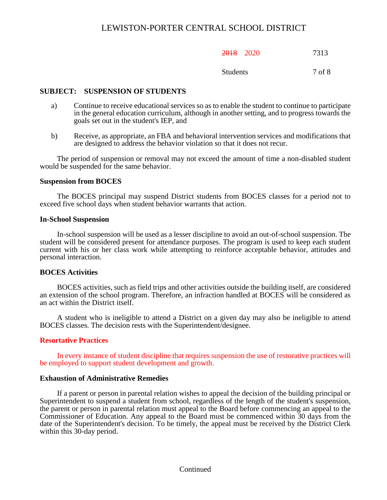| ንበ1 ዩ<br>2010 | 2020 | 7313 |
|---------------|------|------|
|---------------|------|------|

Students 7 of 8

### **SUBJECT: SUSPENSION OF STUDENTS**

- a) Continue to receive educational services so as to enable the student to continue to participate in the general education curriculum, although in another setting, and to progress towards the goals set out in the student's IEP, and
- b) Receive, as appropriate, an FBA and behavioral intervention services and modifications that are designed to address the behavior violation so that it does not recur.

The period of suspension or removal may not exceed the amount of time a non-disabled student would be suspended for the same behavior.

#### **Suspension from BOCES**

The BOCES principal may suspend District students from BOCES classes for a period not to exceed five school days when student behavior warrants that action.

#### **In-School Suspension**

In-school suspension will be used as a lesser discipline to avoid an out-of-school suspension. The student will be considered present for attendance purposes. The program is used to keep each student current with his or her class work while attempting to reinforce acceptable behavior, attitudes and personal interaction.

#### **BOCES Activities**

BOCES activities, such as field trips and other activities outside the building itself, are considered an extension of the school program. Therefore, an infraction handled at BOCES will be considered as an act within the District itself.

A student who is ineligible to attend a District on a given day may also be ineligible to attend BOCES classes. The decision rests with the Superintendent/designee.

#### **Resortative Practices**

In every instance of student discipline that requires suspension the use of restorative practices will be employed to support student development and growth.

#### **Exhaustion of Administrative Remedies**

If a parent or person in parental relation wishes to appeal the decision of the building principal or Superintendent to suspend a student from school, regardless of the length of the student's suspension, the parent or person in parental relation must appeal to the Board before commencing an appeal to the Commissioner of Education. Any appeal to the Board must be commenced within 30 days from the date of the Superintendent's decision. To be timely, the appeal must be received by the District Clerk within this 30-day period.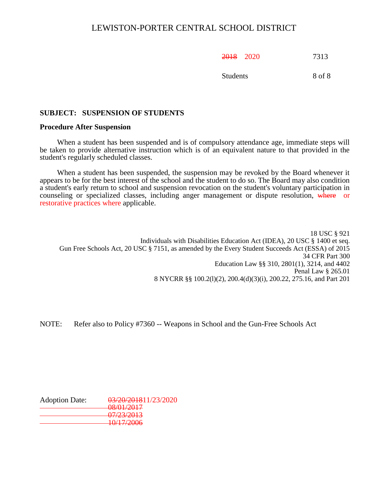| ንበ1 ዩ<br><del>ZUTO</del> | 2020 | 7313 |
|--------------------------|------|------|
|                          |      |      |

Students 8 of 8

# **SUBJECT: SUSPENSION OF STUDENTS**

#### **Procedure After Suspension**

When a student has been suspended and is of compulsory attendance age, immediate steps will be taken to provide alternative instruction which is of an equivalent nature to that provided in the student's regularly scheduled classes.

When a student has been suspended, the suspension may be revoked by the Board whenever it appears to be for the best interest of the school and the student to do so. The Board may also condition a student's early return to school and suspension revocation on the student's voluntary participation in counseling or specialized classes, including anger management or dispute resolution, where or restorative practices where applicable.

18 USC § 921 Individuals with Disabilities Education Act (IDEA), 20 USC § 1400 et seq. Gun Free Schools Act, 20 USC § 7151, as amended by the Every Student Succeeds Act (ESSA) of 2015 34 CFR Part 300 Education Law §§ 310, 2801(1), 3214, and 4402 Penal Law § 265.01 8 NYCRR §§ 100.2(l)(2), 200.4(d)(3)(i), 200.22, 275.16, and Part 201

NOTE: Refer also to Policy #7360 -- Weapons in School and the Gun-Free Schools Act

| 03/20/201811/23/2020                       |
|--------------------------------------------|
| $\Omega$ /01/2017<br><del>vo/v1/2017</del> |
|                                            |
| 07/23/2013                                 |
| 10/17/2006<br>1 <del>0/17/2000</del>       |
|                                            |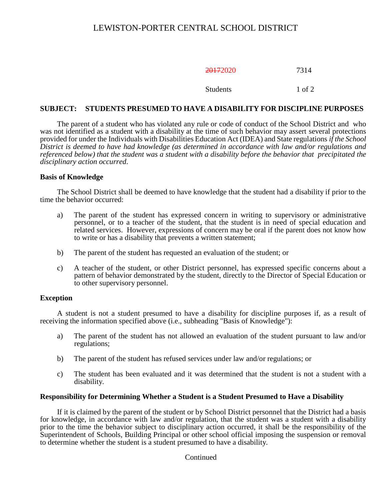| 20172020 | 7314       |
|----------|------------|
| Students | $1$ of $2$ |

## **SUBJECT: STUDENTS PRESUMED TO HAVE A DISABILITY FOR DISCIPLINE PURPOSES**

The parent of a student who has violated any rule or code of conduct of the School District and who was not identified as a student with a disability at the time of such behavior may assert several protections provided for under the Individuals with Disabilities Education Act (IDEA) and State regulations *if the School District is deemed to have had knowledge (as determined in accordance with law and/or regulations and referenced below) that the student was a student with a disability before the behavior that precipitated the disciplinary action occurred*.

## **Basis of Knowledge**

The School District shall be deemed to have knowledge that the student had a disability if prior to the time the behavior occurred:

- a) The parent of the student has expressed concern in writing to supervisory or administrative personnel, or to a teacher of the student, that the student is in need of special education and related services. However, expressions of concern may be oral if the parent does not know how to write or has a disability that prevents a written statement;
- b) The parent of the student has requested an evaluation of the student; or
- c) A teacher of the student, or other District personnel, has expressed specific concerns about a pattern of behavior demonstrated by the student, directly to the Director of Special Education or to other supervisory personnel.

# **Exception**

A student is not a student presumed to have a disability for discipline purposes if, as a result of receiving the information specified above (i.e., subheading "Basis of Knowledge"):

- a) The parent of the student has not allowed an evaluation of the student pursuant to law and/or regulations;
- b) The parent of the student has refused services under law and/or regulations; or
- c) The student has been evaluated and it was determined that the student is not a student with a disability.

#### **Responsibility for Determining Whether a Student is a Student Presumed to Have a Disability**

If it is claimed by the parent of the student or by School District personnel that the District had a basis for knowledge, in accordance with law and/or regulation, that the student was a student with a disability prior to the time the behavior subject to disciplinary action occurred, it shall be the responsibility of the Superintendent of Schools, Building Principal or other school official imposing the suspension or removal to determine whether the student is a student presumed to have a disability.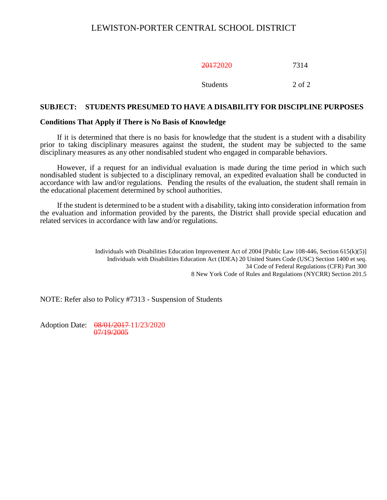| 20172020        | 7314   |
|-----------------|--------|
| <b>Students</b> | 2 of 2 |

#### **SUBJECT: STUDENTS PRESUMED TO HAVE A DISABILITY FOR DISCIPLINE PURPOSES**

#### **Conditions That Apply if There is No Basis of Knowledge**

If it is determined that there is no basis for knowledge that the student is a student with a disability prior to taking disciplinary measures against the student, the student may be subjected to the same disciplinary measures as any other nondisabled student who engaged in comparable behaviors.

However, if a request for an individual evaluation is made during the time period in which such nondisabled student is subjected to a disciplinary removal, an expedited evaluation shall be conducted in accordance with law and/or regulations. Pending the results of the evaluation, the student shall remain in the educational placement determined by school authorities.

If the student is determined to be a student with a disability, taking into consideration information from the evaluation and information provided by the parents, the District shall provide special education and related services in accordance with law and/or regulations.

> Individuals with Disabilities Education Improvement Act of 2004 [Public Law 108-446, Section 615(k)(5)] Individuals with Disabilities Education Act (IDEA) 20 United States Code (USC) Section 1400 et seq. 34 Code [of Federal Regulations \(CFR\) Part 300](http://www.access.gpo.gov/nara/cfr/waisidx_02/34cfrv2_02.html) 8 New York Code of Rules and Regulations (NYCRR) Section 201.5

NOTE: Refer also to Policy #7313 - Suspension of Students

Adoption Date: 08/01/2017 11/23/2020 07/19/2005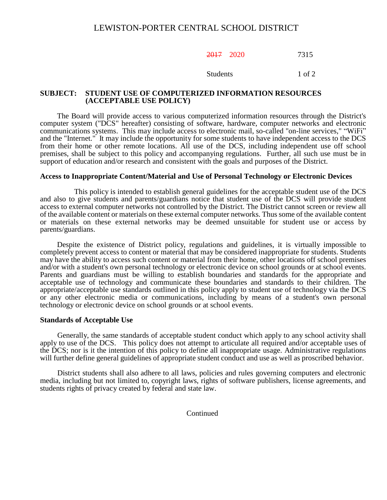2017 2020 7315

Students 1 of 2

#### **SUBJECT: STUDENT USE OF COMPUTERIZED INFORMATION RESOURCES (ACCEPTABLE USE POLICY)**

The Board will provide access to various computerized information resources through the District's computer system ("DCS" hereafter) consisting of software, hardware, computer networks and electronic communications systems. This may include access to electronic mail, so-called "on-line services," "WiFi" and the "Internet." It may include the opportunity for some students to have independent access to the DCS from their home or other remote locations. All use of the DCS, including independent use off school premises, shall be subject to this policy and accompanying regulations. Further, all such use must be in support of education and/or research and consistent with the goals and purposes of the District.

#### **Access to Inappropriate Content/Material and Use of Personal Technology or Electronic Devices**

This policy is intended to establish general guidelines for the acceptable student use of the DCS and also to give students and parents/guardians notice that student use of the DCS will provide student access to external computer networks not controlled by the District. The District cannot screen or review all of the available content or materials on these external computer networks. Thus some of the available content or materials on these external networks may be deemed unsuitable for student use or access by parents/guardians.

Despite the existence of District policy, regulations and guidelines, it is virtually impossible to completely prevent access to content or material that may be considered inappropriate for students. Students may have the ability to access such content or material from their home, other locations off school premises and/or with a student's own personal technology or electronic device on school grounds or at school events. Parents and guardians must be willing to establish boundaries and standards for the appropriate and acceptable use of technology and communicate these boundaries and standards to their children. The appropriate/acceptable use standards outlined in this policy apply to student use of technology via the DCS or any other electronic media or communications, including by means of a student's own personal technology or electronic device on school grounds or at school events.

#### **Standards of Acceptable Use**

Generally, the same standards of acceptable student conduct which apply to any school activity shall apply to use of the DCS. This policy does not attempt to articulate all required and/or acceptable uses of the DCS; nor is it the intention of this policy to define all inappropriate usage. Administrative regulations will further define general guidelines of appropriate student conduct and use as well as proscribed behavior.

District students shall also adhere to all laws, policies and rules governing computers and electronic media, including but not limited to, copyright laws, rights of software publishers, license agreements, and students rights of privacy created by federal and state law.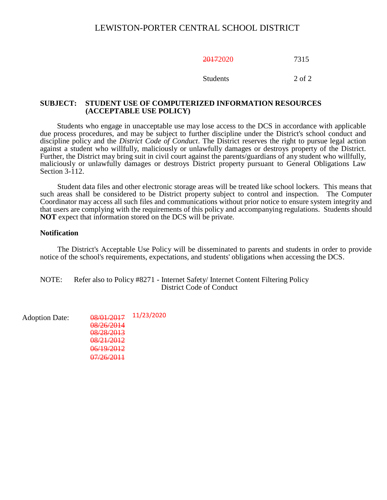20172020 7315

Students 2 of 2

### **SUBJECT: STUDENT USE OF COMPUTERIZED INFORMATION RESOURCES (ACCEPTABLE USE POLICY)**

Students who engage in unacceptable use may lose access to the DCS in accordance with applicable due process procedures, and may be subject to further discipline under the District's school conduct and discipline policy and the *District Code of Conduct*. The District reserves the right to pursue legal action against a student who willfully, maliciously or unlawfully damages or destroys property of the District. Further, the District may bring suit in civil court against the parents/guardians of any student who willfully, maliciously or unlawfully damages or destroys District property pursuant to General Obligations Law Section 3-112.

Student data files and other electronic storage areas will be treated like school lockers. This means that such areas shall be considered to be District property subject to control and inspection. The Computer Coordinator may access all such files and communications without prior notice to ensure system integrity and that users are complying with the requirements of this policy and accompanying regulations. Students should **NOT** expect that information stored on the DCS will be private.

#### **Notification**

The District's Acceptable Use Policy will be disseminated to parents and students in order to provide notice of the school's requirements, expectations, and students' obligations when accessing the DCS.

NOTE: Refer also to Policy #8271 - Internet Safety/ Internet Content Filtering Policy District Code of Conduct

Adoption Date:  $\frac{08}{01/2017}$  11/23/2020 08/26/2014 08/28/2013 08/21/2012 06/19/2012 07/26/2011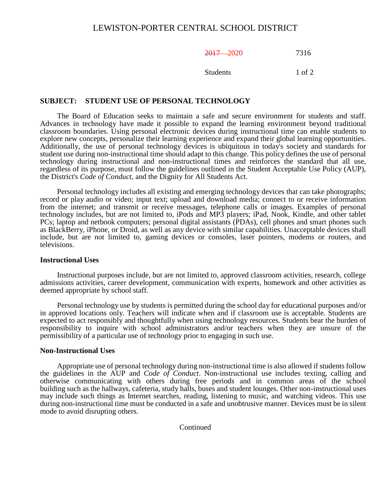## 2017 2020 7316

Students 1 of 2

### **SUBJECT: STUDENT USE OF PERSONAL TECHNOLOGY**

The Board of Education seeks to maintain a safe and secure environment for students and staff. Advances in technology have made it possible to expand the learning environment beyond traditional classroom boundaries. Using personal electronic devices during instructional time can enable students to explore new concepts, personalize their learning experience and expand their global learning opportunities. Additionally, the use of personal technology devices is ubiquitous in today's society and standards for student use during non-instructional time should adapt to this change. This policy defines the use of personal technology during instructional and non-instructional times and reinforces the standard that all use, regardless of its purpose, must follow the guidelines outlined in the Student Acceptable Use Policy (AUP), the District's *Code of Conduct*, and the Dignity for All Students Act.

Personal technology includes all existing and emerging technology devices that can take photographs; record or play audio or video; input text; upload and download media; connect to or receive information from the internet; and transmit or receive messages, telephone calls or images. Examples of personal technology includes, but are not limited to, iPods and MP3 players; iPad, Nook, Kindle, and other tablet PCs; laptop and netbook computers; personal digital assistants (PDAs), cell phones and smart phones such as BlackBerry, iPhone, or Droid, as well as any device with similar capabilities. Unacceptable devices shall include, but are not limited to, gaming devices or consoles, laser pointers, modems or routers, and televisions.

#### **Instructional Uses**

Instructional purposes include, but are not limited to, approved classroom activities, research, college admissions activities, career development, communication with experts, homework and other activities as deemed appropriate by school staff.

Personal technology use by students is permitted during the school day for educational purposes and/or in approved locations only. Teachers will indicate when and if classroom use is acceptable. Students are expected to act responsibly and thoughtfully when using technology resources. Students bear the burden of responsibility to inquire with school administrators and/or teachers when they are unsure of the permissibility of a particular use of technology prior to engaging in such use.

#### **Non-Instructional Uses**

Appropriate use of personal technology during non-instructional time is also allowed if students follow the guidelines in the AUP and *Code of Conduct*. Non-instructional use includes texting, calling and otherwise communicating with others during free periods and in common areas of the school building such as the hallways, cafeteria, study halls, buses and student lounges. Other non-instructional uses may include such things as Internet searches, reading, listening to music, and watching videos. This use during non-instructional time must be conducted in a safe and unobtrusive manner. Devices must be in silent mode to avoid disrupting others.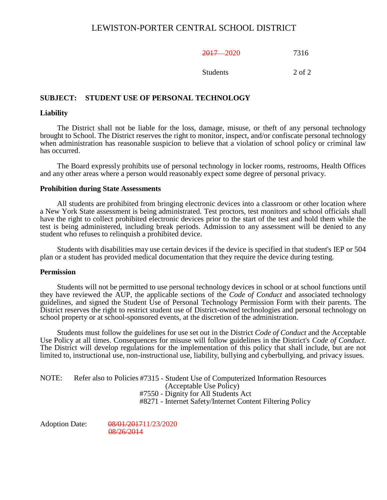2017 2020 7316

Students 2 of 2

## **SUBJECT: STUDENT USE OF PERSONAL TECHNOLOGY**

#### **Liability**

The District shall not be liable for the loss, damage, misuse, or theft of any personal technology brought to School. The District reserves the right to monitor, inspect, and/or confiscate personal technology when administration has reasonable suspicion to believe that a violation of school policy or criminal law has occurred.

The Board expressly prohibits use of personal technology in locker rooms, restrooms, Health Offices and any other areas where a person would reasonably expect some degree of personal privacy.

#### **Prohibition during State Assessments**

All students are prohibited from bringing electronic devices into a classroom or other location where a New York State assessment is being administrated. Test proctors, test monitors and school officials shall have the right to collect prohibited electronic devices prior to the start of the test and hold them while the test is being administered, including break periods. Admission to any assessment will be denied to any student who refuses to relinquish a prohibited device.

Students with disabilities may use certain devices if the device is specified in that student's IEP or 504 plan or a student has provided medical documentation that they require the device during testing.

#### **Permission**

Students will not be permitted to use personal technology devices in school or at school functions until they have reviewed the AUP, the applicable sections of the *Code of Conduct* and associated technology guidelines, and signed the Student Use of Personal Technology Permission Form with their parents. The District reserves the right to restrict student use of District-owned technologies and personal technology on school property or at school-sponsored events, at the discretion of the administration.

Students must follow the guidelines for use set out in the District *Code of Conduct* and the Acceptable Use Policy at all times. Consequences for misuse will follow guidelines in the District's *Code of Conduct*. The District will develop regulations for the implementation of this policy that shall include, but are not limited to, instructional use, non-instructional use, liability, bullying and cyberbullying, and privacy issues.

NOTE: Refer also to Policies #7315 - Student Use of Computerized Information Resources (Acceptable Use Policy) #7550 - Dignity for All Students Act #8271 - Internet Safety/Internet Content Filtering Policy

Adoption Date: 08/01/201711/23/2020 08/26/2014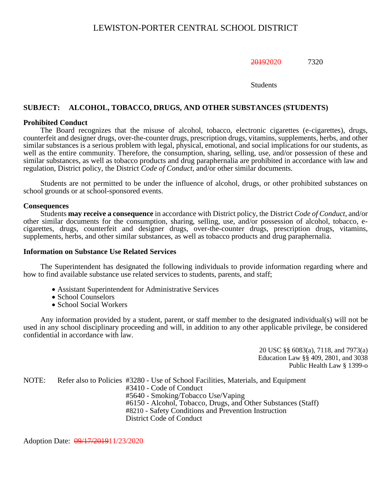## 20192020 7320

#### Students

## **SUBJECT: ALCOHOL, TOBACCO, DRUGS, AND OTHER SUBSTANCES (STUDENTS)**

#### **Prohibited Conduct**

The Board recognizes that the misuse of alcohol, tobacco, electronic cigarettes (e-cigarettes), drugs, counterfeit and designer drugs, over-the-counter drugs, prescription drugs, vitamins, supplements, herbs, and other similar substances is a serious problem with legal, physical, emotional, and social implications for our students, as well as the entire community. Therefore, the consumption, sharing, selling, use, and/or possession of these and similar substances, as well as tobacco products and drug paraphernalia are prohibited in accordance with law and regulation, District policy, the District *Code of Conduct*, and/or other similar documents.

Students are not permitted to be under the influence of alcohol, drugs, or other prohibited substances on school grounds or at school-sponsored events.

#### **Consequences**

Students **may receive a consequence** in accordance with District policy, the District *Code of Conduct*, and/or other similar documents for the consumption, sharing, selling, use, and/or possession of alcohol, tobacco, ecigarettes, drugs, counterfeit and designer drugs, over-the-counter drugs, prescription drugs, vitamins, supplements, herbs, and other similar substances, as well as tobacco products and drug paraphernalia.

#### **Information on Substance Use Related Services**

The Superintendent has designated the following individuals to provide information regarding where and how to find available substance use related services to students, parents, and staff;

- Assistant Superintendent for Administrative Services
- School Counselors
- School Social Workers

Any information provided by a student, parent, or staff member to the designated individual(s) will not be used in any school disciplinary proceeding and will, in addition to any other applicable privilege, be considered confidential in accordance with law.

> 20 USC §§ 6083(a), 7118, and 7973(a) Education Law §§ 409, 2801, and 3038 Public Health Law § 1399-o

NOTE: Refer also to Policies #3280 - Use of School Facilities, Materials, and Equipment #3410 - Code of Conduct #5640 - Smoking/Tobacco Use/Vaping #6150 - Alcohol, Tobacco, Drugs, and Other Substances (Staff) #8210 - Safety Conditions and Prevention Instruction District Code of Conduct

Adoption Date:  $\frac{0.0017}{201911}/23/2020$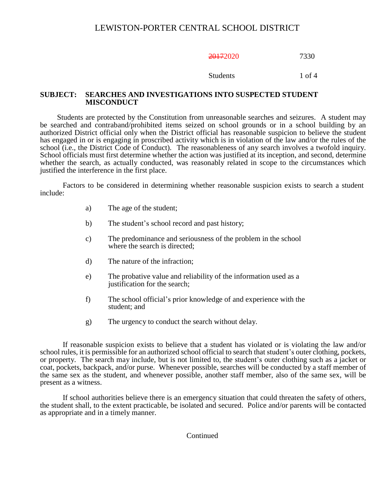# 20172020 7330

#### Students 1 of 4

#### **SUBJECT: SEARCHES AND INVESTIGATIONS INTO SUSPECTED STUDENT MISCONDUCT**

Students are protected by the Constitution from unreasonable searches and seizures. A student may be searched and contraband/prohibited items seized on school grounds or in a school building by an authorized District official only when the District official has reasonable suspicion to believe the student has engaged in or is engaging in proscribed activity which is in violation of the law and/or the rules of the school (i.e., the District Code of Conduct). The reasonableness of any search involves a twofold inquiry. School officials must first determine whether the action was justified at its inception, and second, determine whether the search, as actually conducted, was reasonably related in scope to the circumstances which justified the interference in the first place.

Factors to be considered in determining whether reasonable suspicion exists to search a student include:

- a) The age of the student;
- b) The student's school record and past history;
- c) The predominance and seriousness of the problem in the school where the search is directed;
- d) The nature of the infraction;
- e) The probative value and reliability of the information used as a justification for the search;
- f) The school official's prior knowledge of and experience with the student; and
- g) The urgency to conduct the search without delay.

If reasonable suspicion exists to believe that a student has violated or is violating the law and/or school rules, it is permissible for an authorized school official to search that student's outer clothing, pockets, or property. The search may include, but is not limited to, the student's outer clothing such as a jacket or coat, pockets, backpack, and/or purse. Whenever possible, searches will be conducted by a staff member of the same sex as the student, and whenever possible, another staff member, also of the same sex, will be present as a witness.

If school authorities believe there is an emergency situation that could threaten the safety of others, the student shall, to the extent practicable, be isolated and secured. Police and/or parents will be contacted as appropriate and in a timely manner.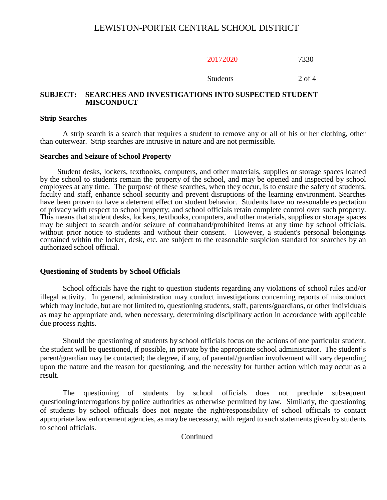20172020 7330

Students 2 of 4

## **SUBJECT: SEARCHES AND INVESTIGATIONS INTO SUSPECTED STUDENT MISCONDUCT**

#### **Strip Searches**

A strip search is a search that requires a student to remove any or all of his or her clothing, other than outerwear. Strip searches are intrusive in nature and are not permissible.

#### **Searches and Seizure of School Property**

Student desks, lockers, textbooks, computers, and other materials, supplies or storage spaces loaned by the school to students remain the property of the school, and may be opened and inspected by school employees at any time. The purpose of these searches, when they occur, is to ensure the safety of students, faculty and staff, enhance school security and prevent disruptions of the learning environment. Searches have been proven to have a deterrent effect on student behavior. Students have no reasonable expectation of privacy with respect to school property; and school officials retain complete control over such property. This means that student desks, lockers, textbooks, computers, and other materials, supplies or storage spaces may be subject to search and/or seizure of contraband/prohibited items at any time by school officials, without prior notice to students and without their consent. However, a student's personal belongings contained within the locker, desk, etc. are subject to the reasonable suspicion standard for searches by an authorized school official.

#### **Questioning of Students by School Officials**

School officials have the right to question students regarding any violations of school rules and/or illegal activity. In general, administration may conduct investigations concerning reports of misconduct which may include, but are not limited to, questioning students, staff, parents/guardians, or other individuals as may be appropriate and, when necessary, determining disciplinary action in accordance with applicable due process rights.

Should the questioning of students by school officials focus on the actions of one particular student, the student will be questioned, if possible, in private by the appropriate school administrator. The student's parent/guardian may be contacted; the degree, if any, of parental/guardian involvement will vary depending upon the nature and the reason for questioning, and the necessity for further action which may occur as a result.

The questioning of students by school officials does not preclude subsequent questioning/interrogations by police authorities as otherwise permitted by law. Similarly, the questioning of students by school officials does not negate the right/responsibility of school officials to contact appropriate law enforcement agencies, as may be necessary, with regard to such statements given by students to school officials.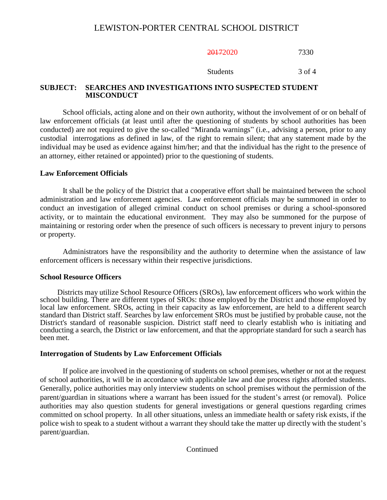20172020 7330

Students 3 of 4

# **SUBJECT: SEARCHES AND INVESTIGATIONS INTO SUSPECTED STUDENT MISCONDUCT**

School officials, acting alone and on their own authority, without the involvement of or on behalf of law enforcement officials (at least until after the questioning of students by school authorities has been conducted) are not required to give the so-called "Miranda warnings" (i.e., advising a person, prior to any custodial interrogations as defined in law, of the right to remain silent; that any statement made by the individual may be used as evidence against him/her; and that the individual has the right to the presence of an attorney, either retained or appointed) prior to the questioning of students.

# **Law Enforcement Officials**

It shall be the policy of the District that a cooperative effort shall be maintained between the school administration and law enforcement agencies. Law enforcement officials may be summoned in order to conduct an investigation of alleged criminal conduct on school premises or during a school-sponsored activity, or to maintain the educational environment. They may also be summoned for the purpose of maintaining or restoring order when the presence of such officers is necessary to prevent injury to persons or property.

Administrators have the responsibility and the authority to determine when the assistance of law enforcement officers is necessary within their respective jurisdictions.

#### **School Resource Officers**

Districts may utilize School Resource Officers (SROs), law enforcement officers who work within the school building. There are different types of SROs: those employed by the District and those employed by local law enforcement. SROs, acting in their capacity as law enforcement, are held to a different search standard than District staff. Searches by law enforcement SROs must be justified by probable cause, not the District's standard of reasonable suspicion. District staff need to clearly establish who is initiating and conducting a search, the District or law enforcement, and that the appropriate standard for such a search has been met.

# **Interrogation of Students by Law Enforcement Officials**

If police are involved in the questioning of students on school premises, whether or not at the request of school authorities, it will be in accordance with applicable law and due process rights afforded students. Generally, police authorities may only interview students on school premises without the permission of the parent/guardian in situations where a warrant has been issued for the student's arrest (or removal). Police authorities may also question students for general investigations or general questions regarding crimes committed on school property. In all other situations, unless an immediate health or safety risk exists, if the police wish to speak to a student without a warrant they should take the matter up directly with the student's parent/guardian.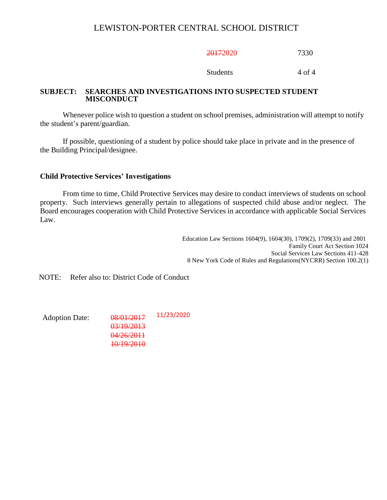20172020 7330

Students 4 of 4

## **SUBJECT: SEARCHES AND INVESTIGATIONS INTO SUSPECTED STUDENT MISCONDUCT**

Whenever police wish to question a student on school premises, administration will attempt to notify the student's parent/guardian.

If possible, questioning of a student by police should take place in private and in the presence of the Building Principal/designee.

## **Child Protective Services' Investigations**

From time to time, Child Protective Services may desire to conduct interviews of students on school property. Such interviews generally pertain to allegations of suspected child abuse and/or neglect. The Board encourages cooperation with Child Protective Services in accordance with applicable Social Services Law.

> Education Law Sections 1604(9), 1604(30), 1709(2), 1709(33) and 2801 Family Court Act Section 1024 Social Services Law Sections 411-428 8 New York Code of Rules and Regulations(NYCRR) Section 100.2(1)

NOTE: Refer also to: District Code of Conduct

Adoption Date: 08/01/2017 03/19/2013 04/26/2011 10/19/2010 11/23/2020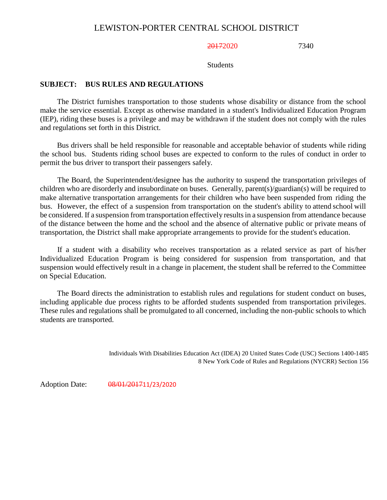20172020 7340

**Students** 

# **SUBJECT: BUS RULES AND REGULATIONS**

The District furnishes transportation to those students whose disability or distance from the school make the service essential. Except as otherwise mandated in a student's Individualized Education Program (IEP), riding these buses is a privilege and may be withdrawn if the student does not comply with the rules and regulations set forth in this District.

Bus drivers shall be held responsible for reasonable and acceptable behavior of students while riding the school bus. Students riding school buses are expected to conform to the rules of conduct in order to permit the bus driver to transport their passengers safely.

The Board, the Superintendent/designee has the authority to suspend the transportation privileges of children who are disorderly and insubordinate on buses. Generally, parent(s)/guardian(s) will be required to make alternative transportation arrangements for their children who have been suspended from riding the bus. However, the effect of a suspension from transportation on the student's ability to attend school will be considered. If a suspension from transportation effectively resultsin a suspension from attendance because of the distance between the home and the school and the absence of alternative public or private means of transportation, the District shall make appropriate arrangements to provide for the student's education.

If a student with a disability who receives transportation as a related service as part of his/her Individualized Education Program is being considered for suspension from transportation, and that suspension would effectively result in a change in placement, the student shall be referred to the Committee on Special Education.

The Board directs the administration to establish rules and regulations for student conduct on buses, including applicable due process rights to be afforded students suspended from transportation privileges. These rules and regulations shall be promulgated to all concerned, including the non-public schools to which students are transported.

> Individuals With Disabilities Education Act (IDEA) 20 United States Code (USC) Sections 1400-1485 8 New York Code of Rules and Regulations (NYCRR) Section 156

Adoption Date: 08/01/201711/23/2020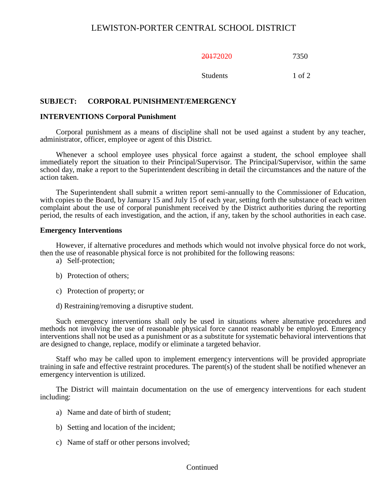20172020 7350

Students 1 of 2

## **SUBJECT: CORPORAL PUNISHMENT/EMERGENCY**

#### **INTERVENTIONS Corporal Punishment**

Corporal punishment as a means of discipline shall not be used against a student by any teacher, administrator, officer, employee or agent of this District.

Whenever a school employee uses physical force against a student, the school employee shall immediately report the situation to their Principal/Supervisor. The Principal/Supervisor, within the same school day, make a report to the Superintendent describing in detail the circumstances and the nature of the action taken.

The Superintendent shall submit a written report semi-annually to the Commissioner of Education, with copies to the Board, by January 15 and July 15 of each year, setting forth the substance of each written complaint about the use of corporal punishment received by the District authorities during the reporting period, the results of each investigation, and the action, if any, taken by the school authorities in each case.

#### **Emergency Interventions**

However, if alternative procedures and methods which would not involve physical force do not work, then the use of reasonable physical force is not prohibited for the following reasons:

- a) Self-protection;
- b) Protection of others;
- c) Protection of property; or
- d) Restraining/removing a disruptive student.

Such emergency interventions shall only be used in situations where alternative procedures and methods not involving the use of reasonable physical force cannot reasonably be employed. Emergency interventions shall not be used as a punishment or as a substitute for systematic behavioral interventions that are designed to change, replace, modify or eliminate a targeted behavior.

Staff who may be called upon to implement emergency interventions will be provided appropriate training in safe and effective restraint procedures. The parent(s) of the student shall be notified whenever an emergency intervention is utilized.

The District will maintain documentation on the use of emergency interventions for each student including:

- a) Name and date of birth of student;
- b) Setting and location of the incident;
- c) Name of staff or other persons involved;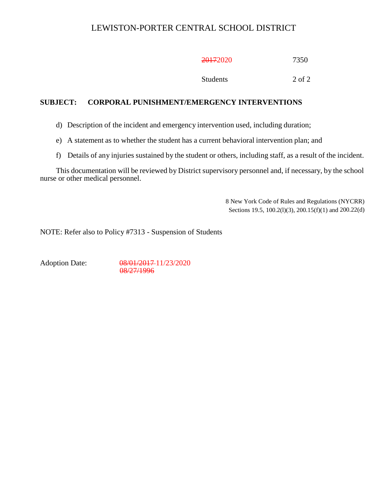20172020 7350

Students 2 of 2

# **SUBJECT: CORPORAL PUNISHMENT/EMERGENCY INTERVENTIONS**

d) Description of the incident and emergency intervention used, including duration;

e) A statement as to whether the student has a current behavioral intervention plan; and

f) Details of any injuries sustained by the student or others, including staff, as a result of the incident.

This documentation will be reviewed by District supervisory personnel and, if necessary, by the school nurse or other medical personnel.

> 8 New York Code of Rules and Regulations (NYCRR) Sections 19.5, 100.2(l)(3), 200.15(f)(1) and 200.22(d)

NOTE: Refer also to Policy #7313 - Suspension of Students

Adoption Date: 08/01/2017-11/23/2020 08/27/1996